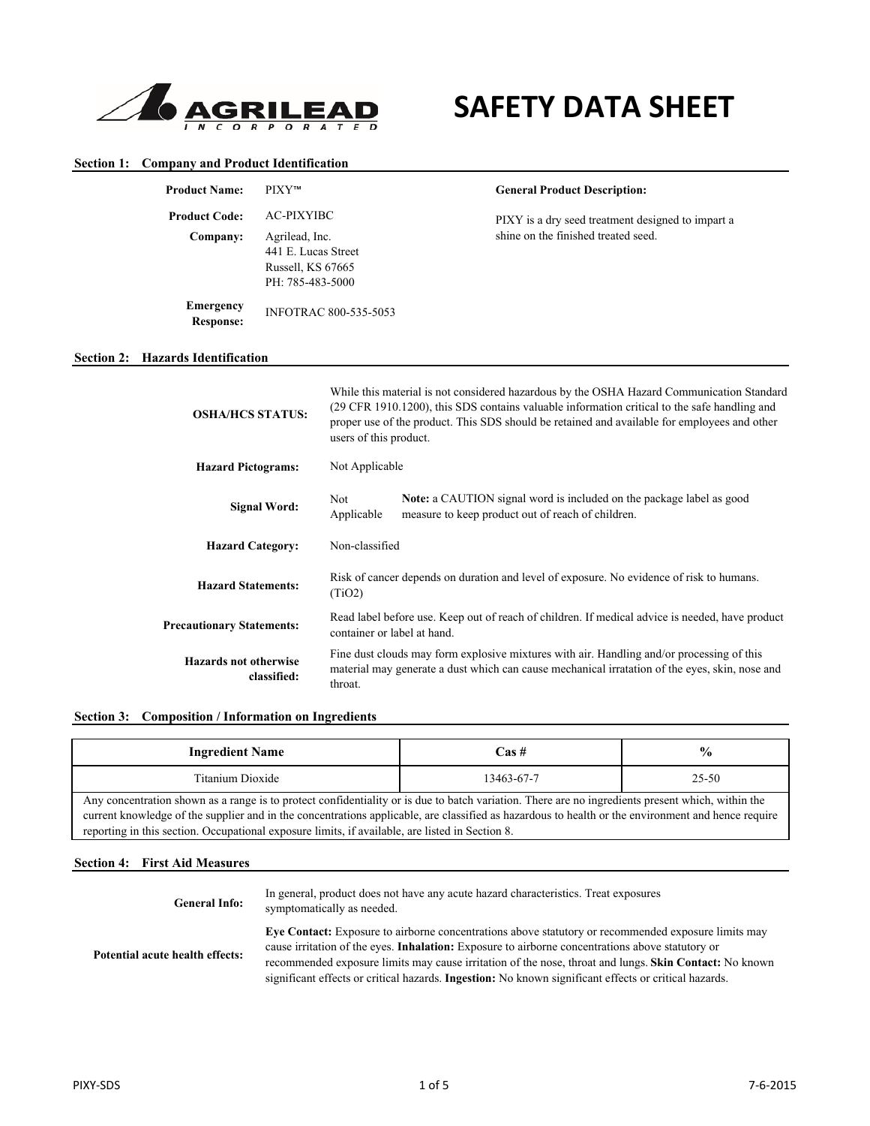

# **SAFETY DATA SHEET**

#### **Section 1: Company and Product Identification**

**Section 2:** 

| <b>Product Name:</b>                        | PIXY™                                                                          |                                                                                                                                                                                                        | <b>General Product Description:</b>                                                                                                                                                                                                                                                       |  |
|---------------------------------------------|--------------------------------------------------------------------------------|--------------------------------------------------------------------------------------------------------------------------------------------------------------------------------------------------------|-------------------------------------------------------------------------------------------------------------------------------------------------------------------------------------------------------------------------------------------------------------------------------------------|--|
| <b>Product Code:</b>                        | <b>AC-PIXYIBC</b>                                                              |                                                                                                                                                                                                        | PIXY is a dry seed treatment designed to impart a                                                                                                                                                                                                                                         |  |
| Company:                                    | Agrilead, Inc.<br>441 E. Lucas Street<br>Russell, KS 67665<br>PH: 785-483-5000 |                                                                                                                                                                                                        | shine on the finished treated seed.                                                                                                                                                                                                                                                       |  |
| <b>Emergency</b><br><b>Response:</b>        | <b>INFOTRAC 800-535-5053</b>                                                   |                                                                                                                                                                                                        |                                                                                                                                                                                                                                                                                           |  |
| <b>Hazards Identification</b>               |                                                                                |                                                                                                                                                                                                        |                                                                                                                                                                                                                                                                                           |  |
| <b>OSHA/HCS STATUS:</b>                     |                                                                                | users of this product.                                                                                                                                                                                 | While this material is not considered hazardous by the OSHA Hazard Communication Standard<br>(29 CFR 1910.1200), this SDS contains valuable information critical to the safe handling and<br>proper use of the product. This SDS should be retained and available for employees and other |  |
| <b>Hazard Pictograms:</b>                   |                                                                                | Not Applicable                                                                                                                                                                                         |                                                                                                                                                                                                                                                                                           |  |
| <b>Signal Word:</b>                         |                                                                                | Not<br>Applicable                                                                                                                                                                                      | Note: a CAUTION signal word is included on the package label as good<br>measure to keep product out of reach of children.                                                                                                                                                                 |  |
| <b>Hazard Category:</b>                     |                                                                                | Non-classified                                                                                                                                                                                         |                                                                                                                                                                                                                                                                                           |  |
| <b>Hazard Statements:</b>                   |                                                                                | Risk of cancer depends on duration and level of exposure. No evidence of risk to humans.<br>(TiO2)                                                                                                     |                                                                                                                                                                                                                                                                                           |  |
| <b>Precautionary Statements:</b>            |                                                                                |                                                                                                                                                                                                        | Read label before use. Keep out of reach of children. If medical advice is needed, have product<br>container or label at hand.                                                                                                                                                            |  |
| <b>Hazards not otherwise</b><br>classified: |                                                                                | Fine dust clouds may form explosive mixtures with air. Handling and/or processing of this<br>material may generate a dust which can cause mechanical irratation of the eyes, skin, nose and<br>throat. |                                                                                                                                                                                                                                                                                           |  |

| <b>Ingredient Name</b>                                                                                                                                                                                                                                                                                                                                                                                     | Cas #      | $\frac{0}{0}$ |  |
|------------------------------------------------------------------------------------------------------------------------------------------------------------------------------------------------------------------------------------------------------------------------------------------------------------------------------------------------------------------------------------------------------------|------------|---------------|--|
| Titanium Dioxide                                                                                                                                                                                                                                                                                                                                                                                           | 13463-67-7 | 25-50         |  |
| Any concentration shown as a range is to protect confidentiality or is due to batch variation. There are no ingredients present which, within the<br>current knowledge of the supplier and in the concentrations applicable, are classified as hazardous to health or the environment and hence require<br>reporting in this section. Occupational exposure limits, if available, are listed in Section 8. |            |               |  |

#### **Section 4: First Aid Measures**

| <b>General Info:</b>            | In general, product does not have any acute hazard characteristics. Treat exposures<br>symptomatically as needed.                                                                                                                                                                                                                                                                                                                        |
|---------------------------------|------------------------------------------------------------------------------------------------------------------------------------------------------------------------------------------------------------------------------------------------------------------------------------------------------------------------------------------------------------------------------------------------------------------------------------------|
| Potential acute health effects: | Eye Contact: Exposure to airborne concentrations above statutory or recommended exposure limits may<br>cause irritation of the eyes. <b>Inhalation:</b> Exposure to airborne concentrations above statutory or<br>recommended exposure limits may cause irritation of the nose, throat and lungs. Skin Contact: No known<br>significant effects or critical hazards. <b>Ingestion:</b> No known significant effects or critical hazards. |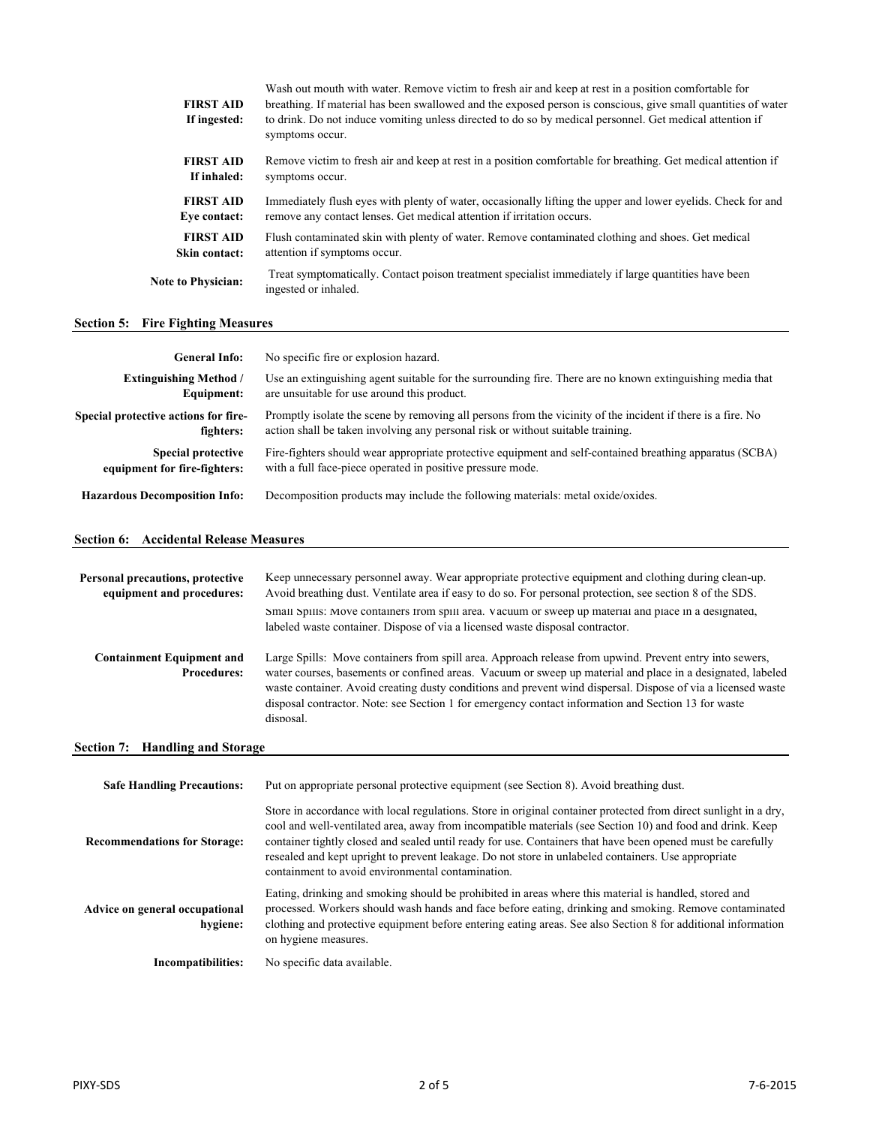| <b>FIRST AID</b><br>If ingested: | Wash out mouth with water. Remove victim to fresh air and keep at rest in a position comfortable for<br>breathing. If material has been swallowed and the exposed person is conscious, give small quantities of water<br>to drink. Do not induce vomiting unless directed to do so by medical personnel. Get medical attention if<br>symptoms occur. |
|----------------------------------|------------------------------------------------------------------------------------------------------------------------------------------------------------------------------------------------------------------------------------------------------------------------------------------------------------------------------------------------------|
| <b>FIRST AID</b>                 | Remove victim to fresh air and keep at rest in a position comfortable for breathing. Get medical attention if                                                                                                                                                                                                                                        |
| If inhaled:                      | symptoms occur.                                                                                                                                                                                                                                                                                                                                      |
| <b>FIRST AID</b>                 | Immediately flush eyes with plenty of water, occasionally lifting the upper and lower eyelids. Check for and                                                                                                                                                                                                                                         |
| Eve contact:                     | remove any contact lenses. Get medical attention if irritation occurs.                                                                                                                                                                                                                                                                               |
| <b>FIRST AID</b>                 | Flush contaminated skin with plenty of water. Remove contaminated clothing and shoes. Get medical                                                                                                                                                                                                                                                    |
| Skin contact:                    | attention if symptoms occur.                                                                                                                                                                                                                                                                                                                         |
| <b>Note to Physician:</b>        | Treat symptomatically. Contact poison treatment specialist immediately if large quantities have been<br>ingested or inhaled.                                                                                                                                                                                                                         |
|                                  |                                                                                                                                                                                                                                                                                                                                                      |

# **Section 5: Fire Fighting Measures**

| <b>General Info:</b>                 | No specific fire or explosion hazard.                                                                       |
|--------------------------------------|-------------------------------------------------------------------------------------------------------------|
| <b>Extinguishing Method</b> /        | Use an extinguishing agent suitable for the surrounding fire. There are no known extinguishing media that   |
| Equipment:                           | are unsuitable for use around this product.                                                                 |
| Special protective actions for fire- | Promptly isolate the scene by removing all persons from the vicinity of the incident if there is a fire. No |
| fighters:                            | action shall be taken involving any personal risk or without suitable training.                             |
| <b>Special protective</b>            | Fire-fighters should wear appropriate protective equipment and self-contained breathing apparatus (SCBA)    |
| equipment for fire-fighters:         | with a full face-piece operated in positive pressure mode.                                                  |
| <b>Hazardous Decomposition Info:</b> | Decomposition products may include the following materials: metal oxide/oxides.                             |

# **Section 6: Accidental Release Measures**

| Personal precautions, protective<br>equipment and procedures: | Keep unnecessary personnel away. Wear appropriate protective equipment and clothing during clean-up.<br>Avoid breathing dust. Ventilate area if easy to do so. For personal protection, see section 8 of the SDS.                                                                                                                                                                                                                                         |
|---------------------------------------------------------------|-----------------------------------------------------------------------------------------------------------------------------------------------------------------------------------------------------------------------------------------------------------------------------------------------------------------------------------------------------------------------------------------------------------------------------------------------------------|
|                                                               | Small Spills: Move containers from spill area. Vacuum or sweep up material and place in a designated,<br>labeled waste container. Dispose of via a licensed waste disposal contractor.                                                                                                                                                                                                                                                                    |
| <b>Containment Equipment and</b><br><b>Procedures:</b>        | Large Spills: Move containers from spill area. Approach release from upwind. Prevent entry into sewers,<br>water courses, basements or confined areas. Vacuum or sweep up material and place in a designated, labeled<br>waste container. Avoid creating dusty conditions and prevent wind dispersal. Dispose of via a licensed waste<br>disposal contractor. Note: see Section 1 for emergency contact information and Section 13 for waste<br>disposal. |

# **Section 7: Handling and Storage**

| <b>Safe Handling Precautions:</b>          | Put on appropriate personal protective equipment (see Section 8). Avoid breathing dust.                                                                                                                                                                                                                                                                                                                                                                                                                  |
|--------------------------------------------|----------------------------------------------------------------------------------------------------------------------------------------------------------------------------------------------------------------------------------------------------------------------------------------------------------------------------------------------------------------------------------------------------------------------------------------------------------------------------------------------------------|
| <b>Recommendations for Storage:</b>        | Store in accordance with local regulations. Store in original container protected from direct sunlight in a dry,<br>cool and well-ventilated area, away from incompatible materials (see Section 10) and food and drink. Keep<br>container tightly closed and sealed until ready for use. Containers that have been opened must be carefully<br>resealed and kept upright to prevent leakage. Do not store in unlabeled containers. Use appropriate<br>containment to avoid environmental contamination. |
| Advice on general occupational<br>hygiene: | Eating, drinking and smoking should be prohibited in areas where this material is handled, stored and<br>processed. Workers should wash hands and face before eating, drinking and smoking. Remove contaminated<br>clothing and protective equipment before entering eating areas. See also Section 8 for additional information<br>on hygiene measures.                                                                                                                                                 |
| Incompatibilities:                         | No specific data available.                                                                                                                                                                                                                                                                                                                                                                                                                                                                              |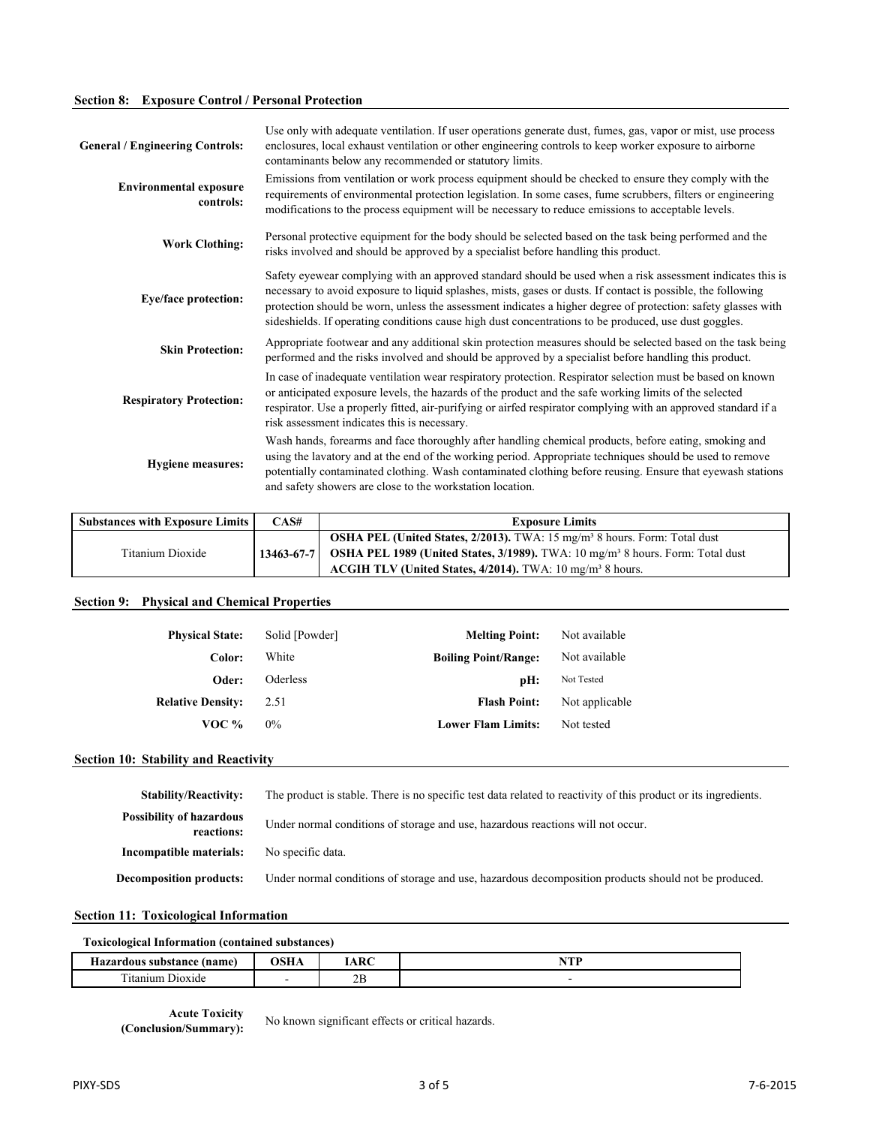# **Section 8: Exposure Control / Personal Protection**

| <b>General / Engineering Controls:</b>     | Use only with adequate ventilation. If user operations generate dust, fumes, gas, vapor or mist, use process<br>enclosures, local exhaust ventilation or other engineering controls to keep worker exposure to airborne<br>contaminants below any recommended or statutory limits.                                                                                                                                                                   |
|--------------------------------------------|------------------------------------------------------------------------------------------------------------------------------------------------------------------------------------------------------------------------------------------------------------------------------------------------------------------------------------------------------------------------------------------------------------------------------------------------------|
| <b>Environmental exposure</b><br>controls: | Emissions from ventilation or work process equipment should be checked to ensure they comply with the<br>requirements of environmental protection legislation. In some cases, fume scrubbers, filters or engineering<br>modifications to the process equipment will be necessary to reduce emissions to acceptable levels.                                                                                                                           |
| <b>Work Clothing:</b>                      | Personal protective equipment for the body should be selected based on the task being performed and the<br>risks involved and should be approved by a specialist before handling this product.                                                                                                                                                                                                                                                       |
| <b>Eye/face protection:</b>                | Safety eyewear complying with an approved standard should be used when a risk assessment indicates this is<br>necessary to avoid exposure to liquid splashes, mists, gases or dusts. If contact is possible, the following<br>protection should be worn, unless the assessment indicates a higher degree of protection: safety glasses with<br>sideshields. If operating conditions cause high dust concentrations to be produced, use dust goggles. |
| <b>Skin Protection:</b>                    | Appropriate footwear and any additional skin protection measures should be selected based on the task being<br>performed and the risks involved and should be approved by a specialist before handling this product.                                                                                                                                                                                                                                 |
| <b>Respiratory Protection:</b>             | In case of inadequate ventilation wear respiratory protection. Respirator selection must be based on known<br>or anticipated exposure levels, the hazards of the product and the safe working limits of the selected<br>respirator. Use a properly fitted, air-purifying or airfed respirator complying with an approved standard if a<br>risk assessment indicates this is necessary.                                                               |
| <b>Hygiene measures:</b>                   | Wash hands, forearms and face thoroughly after handling chemical products, before eating, smoking and<br>using the lavatory and at the end of the working period. Appropriate techniques should be used to remove<br>potentially contaminated clothing. Wash contaminated clothing before reusing. Ensure that eyewash stations<br>and safety showers are close to the workstation location.                                                         |

| <b>Substances with Exposure Limits</b> | CAS#             | <b>Exposure Limits</b>                                                                           |
|----------------------------------------|------------------|--------------------------------------------------------------------------------------------------|
|                                        |                  | <b>OSHA PEL (United States, 2/2013).</b> TWA: 15 $mg/m3$ 8 hours. Form: Total dust               |
| Titanium Dioxide                       | $13463 - 67 - 7$ | <b>OSHA PEL 1989 (United States, 3/1989).</b> TWA: $10 \text{ mg/m}^3$ 8 hours. Form: Total dust |
|                                        |                  | ACGIH TLV (United States, $4/2014$ ). TWA: 10 mg/m <sup>3</sup> 8 hours.                         |

# **Section 9: Physical and Chemical Properties**

| <b>Physical State:</b>   | Solid [Powder] | <b>Melting Point:</b>       | Not available  |
|--------------------------|----------------|-----------------------------|----------------|
| Color:                   | White          | <b>Boiling Point/Range:</b> | Not available  |
| Oder:                    | Oderless       | pH:                         | Not Tested     |
| <b>Relative Density:</b> | 2.51           | <b>Flash Point:</b>         | Not applicable |
| VOC %                    | $0\%$          | <b>Lower Flam Limits:</b>   | Not tested     |

#### **Section 10: Stability and Reactivity**

| <b>Stability/Reactivity:</b>                  | The product is stable. There is no specific test data related to reactivity of this product or its ingredients. |
|-----------------------------------------------|-----------------------------------------------------------------------------------------------------------------|
| <b>Possibility of hazardous</b><br>reactions: | Under normal conditions of storage and use, hazardous reactions will not occur.                                 |
| Incompatible materials:                       | No specific data.                                                                                               |
| <b>Decomposition products:</b>                | Under normal conditions of storage and use, hazardous decomposition products should not be produced.            |

#### **Section 11: Toxicological Information**

## **Toxicological Information (contained substances)**

| <b>Hazardous substance</b>    | леп | ADC                        | <b>ATTEND</b> |
|-------------------------------|-----|----------------------------|---------------|
| (name)                        | љпа | $\bm{m}$                   | 19. L.L       |
| cran *<br>. Dioxide<br>tanıum | -   | $\gamma$ <sub>L</sub><br>∠ |               |

**Acute Toxicity**<br>(Conclusion/Summary):

No known significant effects or critical hazards.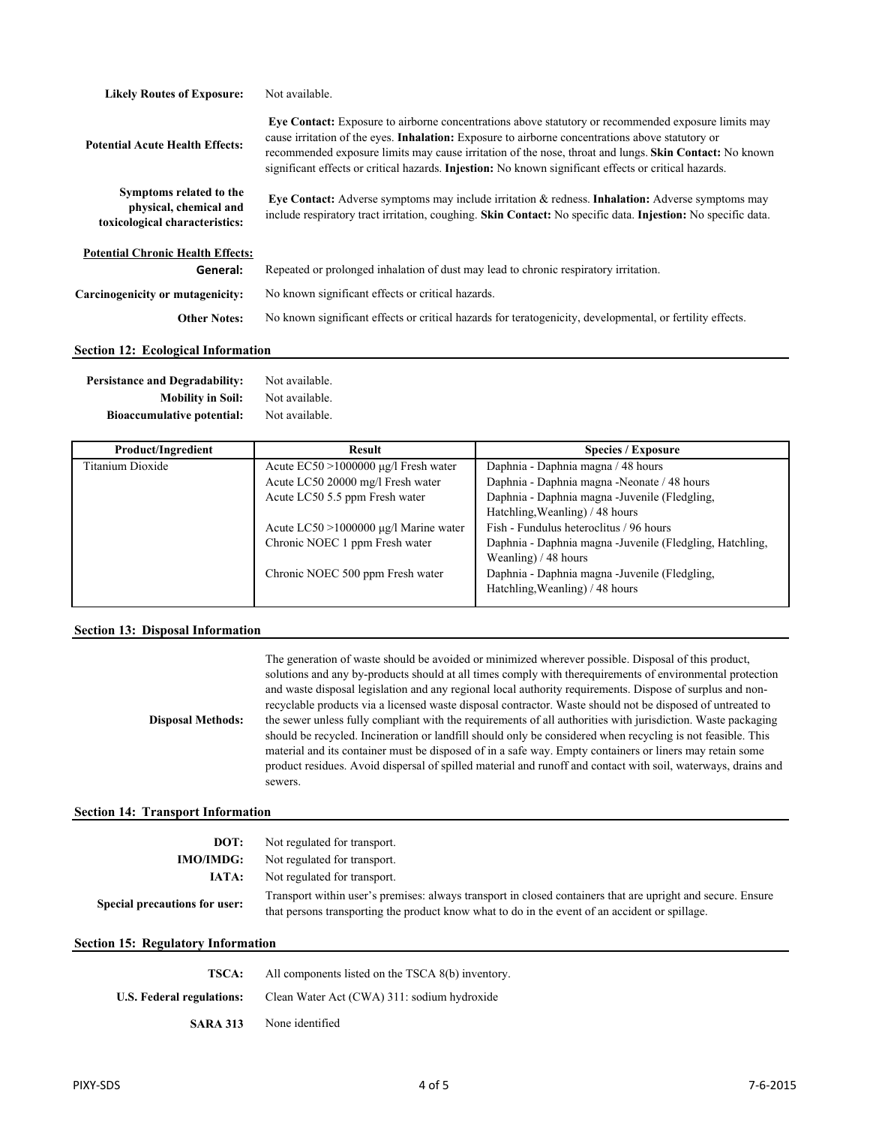| <b>Likely Routes of Exposure:</b>                                                   | Not available.                                                                                                                                                                                                                                                                                                                                                                                                                    |  |
|-------------------------------------------------------------------------------------|-----------------------------------------------------------------------------------------------------------------------------------------------------------------------------------------------------------------------------------------------------------------------------------------------------------------------------------------------------------------------------------------------------------------------------------|--|
| <b>Potential Acute Health Effects:</b>                                              | Eye Contact: Exposure to airborne concentrations above statutory or recommended exposure limits may<br>cause irritation of the eyes. <b>Inhalation:</b> Exposure to airborne concentrations above statutory or<br>recommended exposure limits may cause irritation of the nose, throat and lungs. Skin Contact: No known<br>significant effects or critical hazards. Injestion: No known significant effects or critical hazards. |  |
| Symptoms related to the<br>physical, chemical and<br>toxicological characteristics: | Eye Contact: Adverse symptoms may include irritation $\&$ redness. Inhalation: Adverse symptoms may<br>include respiratory tract irritation, coughing. Skin Contact: No specific data. Injestion: No specific data.                                                                                                                                                                                                               |  |
| <b>Potential Chronic Health Effects:</b>                                            |                                                                                                                                                                                                                                                                                                                                                                                                                                   |  |
| General:                                                                            | Repeated or prolonged inhalation of dust may lead to chronic respiratory irritation.                                                                                                                                                                                                                                                                                                                                              |  |
| Carcinogenicity or mutagenicity:                                                    | No known significant effects or critical hazards.                                                                                                                                                                                                                                                                                                                                                                                 |  |
| <b>Other Notes:</b>                                                                 | No known significant effects or critical hazards for teratogenicity, developmental, or fertility effects.                                                                                                                                                                                                                                                                                                                         |  |
| <b>Section 12: Ecological Information</b>                                           |                                                                                                                                                                                                                                                                                                                                                                                                                                   |  |

#### **Persistance and Degradability: Mobility in Soil:** Not available. Not available.

**Bioaccumulative potential:** Not available.

| <b>Product/Ingredient</b> | Result                                      | <b>Species / Exposure</b>                                 |
|---------------------------|---------------------------------------------|-----------------------------------------------------------|
| Titanium Dioxide          | Acute $EC50 > 1000000 \mu g/l$ Fresh water  | Daphnia - Daphnia magna / 48 hours                        |
|                           | Acute LC50 20000 mg/l Fresh water           | Daphnia - Daphnia magna - Neonate / 48 hours              |
|                           | Acute LC50 5.5 ppm Fresh water              | Daphnia - Daphnia magna - Juvenile (Fledgling,            |
|                           |                                             | Hatchling, Weanling) / 48 hours                           |
|                           | Acute $LC50 > 1000000 \mu g/l$ Marine water | Fish - Fundulus heteroclitus / 96 hours                   |
|                           | Chronic NOEC 1 ppm Fresh water              | Daphnia - Daphnia magna - Juvenile (Fledgling, Hatchling, |
|                           |                                             | Weanling) $/48$ hours                                     |
|                           | Chronic NOEC 500 ppm Fresh water            | Daphnia - Daphnia magna - Juvenile (Fledgling,            |
|                           |                                             | Hatchling, Weanling) / 48 hours                           |
|                           |                                             |                                                           |

## **Section 13: Disposal Information**

**Disposal Methods:** The generation of waste should be avoided or minimized wherever possible. Disposal of this product, solutions and any by-products should at all times comply with therequirements of environmental protection and waste disposal legislation and any regional local authority requirements. Dispose of surplus and nonrecyclable products via a licensed waste disposal contractor. Waste should not be disposed of untreated to the sewer unless fully compliant with the requirements of all authorities with jurisdiction. Waste packaging should be recycled. Incineration or landfill should only be considered when recycling is not feasible. This material and its container must be disposed of in a safe way. Empty containers or liners may retain some product residues. Avoid dispersal of spilled material and runoff and contact with soil, waterways, drains and sewers.

## **Section 14: Transport Information**

| DOT:                                      | Not regulated for transport.                                                                                                                                                                                  |  |
|-------------------------------------------|---------------------------------------------------------------------------------------------------------------------------------------------------------------------------------------------------------------|--|
| <b>IMO/IMDG:</b>                          | Not regulated for transport.                                                                                                                                                                                  |  |
| IATA:                                     | Not regulated for transport.                                                                                                                                                                                  |  |
| Special precautions for user:             | Transport within user's premises: always transport in closed containers that are upright and secure. Ensure<br>that persons transporting the product know what to do in the event of an accident or spillage. |  |
| <b>Section 15: Regulatory Information</b> |                                                                                                                                                                                                               |  |

| TSCA:                     | All components listed on the TSCA 8(b) inventory. |  |
|---------------------------|---------------------------------------------------|--|
| U.S. Federal regulations: | Clean Water Act (CWA) 311: sodium hydroxide       |  |
| <b>SARA 313</b>           | None identified                                   |  |